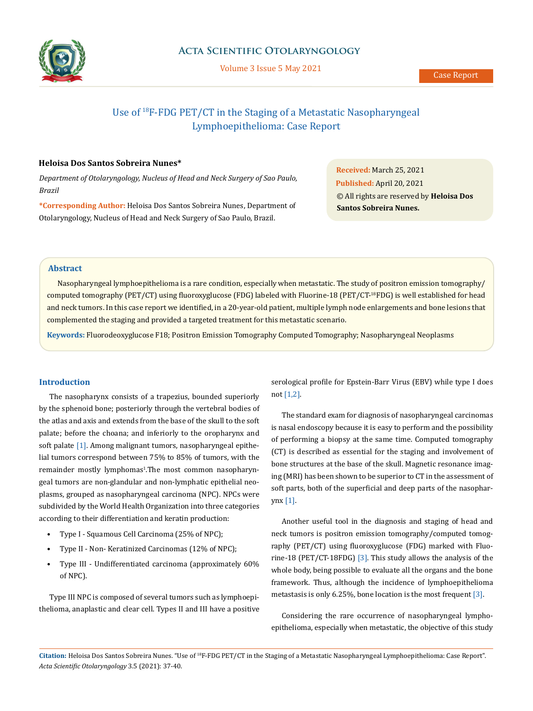

Volume 3 Issue 5 May 2021

# Use of 18F-FDG PET/CT in the Staging of a Metastatic Nasopharyngeal Lymphoepithelioma: Case Report

#### **Heloisa Dos Santos Sobreira Nunes\***

*Department of Otolaryngology, Nucleus of Head and Neck Surgery of Sao Paulo, Brazil* 

**\*Corresponding Author:** Heloisa Dos Santos Sobreira Nunes, Department of Otolaryngology, Nucleus of Head and Neck Surgery of Sao Paulo, Brazil.

**Received:** March 25, 2021 **Published:** April 20, 2021 © All rights are reserved by **Heloisa Dos Santos Sobreira Nunes.**

# **Abstract**

Nasopharyngeal lymphoepithelioma is a rare condition, especially when metastatic. The study of positron emission tomography/ computed tomography (PET/CT) using fluoroxyglucose (FDG) labeled with Fluorine-18 (PET/CT-18FDG) is well established for head and neck tumors. In this case report we identified, in a 20-year-old patient, multiple lymph node enlargements and bone lesions that complemented the staging and provided a targeted treatment for this metastatic scenario.

**Keywords:** Fluorodeoxyglucose F18; Positron Emission Tomography Computed Tomography; Nasopharyngeal Neoplasms

#### **Introduction**

The nasopharynx consists of a trapezius, bounded superiorly by the sphenoid bone; posteriorly through the vertebral bodies of the atlas and axis and extends from the base of the skull to the soft palate; before the choana; and inferiorly to the oropharynx and soft palate [1]. Among malignant tumors, nasopharyngeal epithelial tumors correspond between 75% to 85% of tumors, with the remainder mostly lymphomas<sup>1</sup>.The most common nasopharyngeal tumors are non-glandular and non-lymphatic epithelial neoplasms, grouped as nasopharyngeal carcinoma (NPC). NPCs were subdivided by the World Health Organization into three categories according to their differentiation and keratin production:

- Type I Squamous Cell Carcinoma (25% of NPC);
- Type II Non- Keratinized Carcinomas (12% of NPC);
- Type III Undifferentiated carcinoma (approximately 60% of NPC).

Type III NPC is composed of several tumors such as lymphoepithelioma, anaplastic and clear cell. Types II and III have a positive serological profile for Epstein-Barr Virus (EBV) while type I does not [1,2].

The standard exam for diagnosis of nasopharyngeal carcinomas is nasal endoscopy because it is easy to perform and the possibility of performing a biopsy at the same time. Computed tomography (CT) is described as essential for the staging and involvement of bone structures at the base of the skull. Magnetic resonance imaging (MRI) has been shown to be superior to CT in the assessment of soft parts, both of the superficial and deep parts of the nasopharynx [1].

Another useful tool in the diagnosis and staging of head and neck tumors is positron emission tomography/computed tomography (PET/CT) using fluoroxyglucose (FDG) marked with Fluorine-18 (PET/CT-18FDG) [3]. This study allows the analysis of the whole body, being possible to evaluate all the organs and the bone framework. Thus, although the incidence of lymphoepithelioma metastasis is only 6.25%, bone location is the most frequent [3].

Considering the rare occurrence of nasopharyngeal lymphoepithelioma, especially when metastatic, the objective of this study

**Citation:** Heloisa Dos Santos Sobreira Nunes*.* "Use of 18F-FDG PET/CT in the Staging of a Metastatic Nasopharyngeal Lymphoepithelioma: Case Report". *Acta Scientific Otolaryngology* 3.5 (2021): 37-40.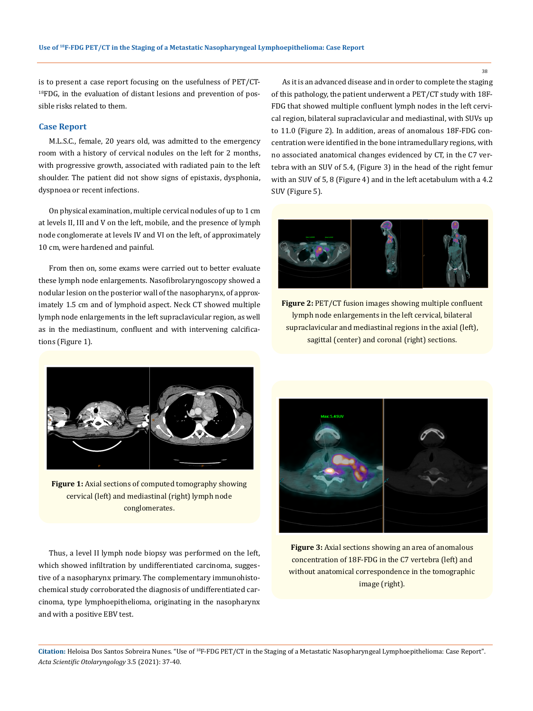is to present a case report focusing on the usefulness of PET/CT-<sup>18</sup>FDG, in the evaluation of distant lesions and prevention of possible risks related to them.

### **Case Report**

M.L.S.C., female, 20 years old, was admitted to the emergency room with a history of cervical nodules on the left for 2 months, with progressive growth, associated with radiated pain to the left shoulder. The patient did not show signs of epistaxis, dysphonia, dyspnoea or recent infections.

On physical examination, multiple cervical nodules of up to 1 cm at levels II, III and V on the left, mobile, and the presence of lymph node conglomerate at levels IV and VI on the left, of approximately 10 cm, were hardened and painful.

From then on, some exams were carried out to better evaluate these lymph node enlargements. Nasofibrolaryngoscopy showed a nodular lesion on the posterior wall of the nasopharynx, of approximately 1.5 cm and of lymphoid aspect. Neck CT showed multiple lymph node enlargements in the left supraclavicular region, as well as in the mediastinum, confluent and with intervening calcifications (Figure 1).



**Figure 1:** Axial sections of computed tomography showing cervical (left) and mediastinal (right) lymph node conglomerates.

Thus, a level II lymph node biopsy was performed on the left, which showed infiltration by undifferentiated carcinoma, suggestive of a nasopharynx primary. The complementary immunohistochemical study corroborated the diagnosis of undifferentiated carcinoma, type lymphoepithelioma, originating in the nasopharynx and with a positive EBV test.

As it is an advanced disease and in order to complete the staging of this pathology, the patient underwent a PET/CT study with 18F-FDG that showed multiple confluent lymph nodes in the left cervical region, bilateral supraclavicular and mediastinal, with SUVs up to 11.0 (Figure 2). In addition, areas of anomalous 18F-FDG concentration were identified in the bone intramedullary regions, with no associated anatomical changes evidenced by CT, in the C7 vertebra with an SUV of 5.4, (Figure 3) in the head of the right femur with an SUV of 5, 8 (Figure 4) and in the left acetabulum with a 4.2 SUV (Figure 5).



**Figure 2: PET/CT** fusion images showing multiple confluent lymph node enlargements in the left cervical, bilateral supraclavicular and mediastinal regions in the axial (left), sagittal (center) and coronal (right) sections.



**Figure 3:** Axial sections showing an area of anomalous concentration of 18F-FDG in the C7 vertebra (left) and without anatomical correspondence in the tomographic image (right).

**Citation:** Heloisa Dos Santos Sobreira Nunes*.* "Use of 18F-FDG PET/CT in the Staging of a Metastatic Nasopharyngeal Lymphoepithelioma: Case Report". *Acta Scientific Otolaryngology* 3.5 (2021): 37-40.

38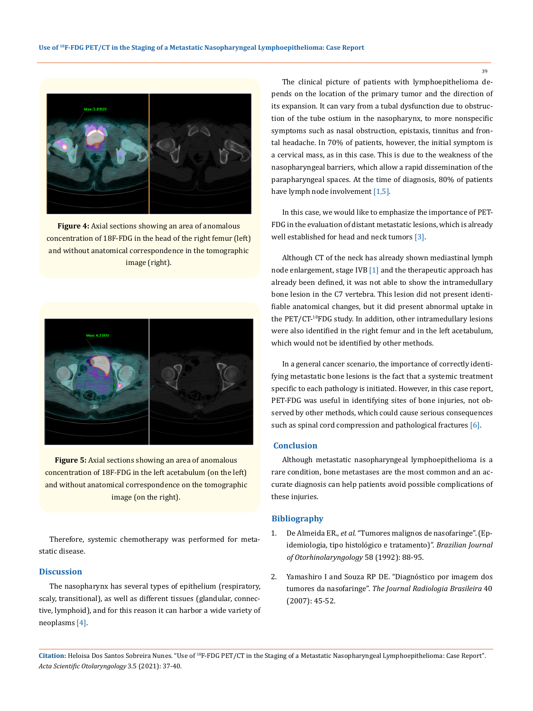

**Figure 4:** Axial sections showing an area of anomalous concentration of 18F-FDG in the head of the right femur (left) and without anatomical correspondence in the tomographic image (right).



**Figure 5:** Axial sections showing an area of anomalous concentration of 18F-FDG in the left acetabulum (on the left) and without anatomical correspondence on the tomographic image (on the right).

Therefore, systemic chemotherapy was performed for metastatic disease.

# **Discussion**

The nasopharynx has several types of epithelium (respiratory, scaly, transitional), as well as different tissues (glandular, connective, lymphoid), and for this reason it can harbor a wide variety of neoplasms [4].

The clinical picture of patients with lymphoepithelioma depends on the location of the primary tumor and the direction of its expansion. It can vary from a tubal dysfunction due to obstruction of the tube ostium in the nasopharynx, to more nonspecific symptoms such as nasal obstruction, epistaxis, tinnitus and frontal headache. In 70% of patients, however, the initial symptom is a cervical mass, as in this case. This is due to the weakness of the nasopharyngeal barriers, which allow a rapid dissemination of the parapharyngeal spaces. At the time of diagnosis, 80% of patients have lymph node involvement [1,5].

In this case, we would like to emphasize the importance of PET-FDG in the evaluation of distant metastatic lesions, which is already well established for head and neck tumors [3].

Although CT of the neck has already shown mediastinal lymph node enlargement, stage IVB [1] and the therapeutic approach has already been defined, it was not able to show the intramedullary bone lesion in the C7 vertebra. This lesion did not present identifiable anatomical changes, but it did present abnormal uptake in the PET/CT-18FDG study. In addition, other intramedullary lesions were also identified in the right femur and in the left acetabulum, which would not be identified by other methods.

In a general cancer scenario, the importance of correctly identifying metastatic bone lesions is the fact that a systemic treatment specific to each pathology is initiated. However, in this case report, PET-FDG was useful in identifying sites of bone injuries, not observed by other methods, which could cause serious consequences such as spinal cord compression and pathological fractures [6].

#### **Conclusion**

Although metastatic nasopharyngeal lymphoepithelioma is a rare condition, bone metastases are the most common and an accurate diagnosis can help patients avoid possible complications of these injuries.

#### **Bibliography**

- 1. De Almeida ER., *et al*. "Tumores malignos de nasofaringe". (Epidemiologia, tipo histológico e tratamento)". *Brazilian Journal of Otorhinolaryngology* 58 (1992): 88-95.
- 2. [Yamashiro I and Souza RP DE. "Diagnóstico por imagem dos](http://www.scielo.br/scielo.php?script=sci_arttext&pid=S0100-39842007000100011) tumores da nasofaringe". *[The Journal Radiologia Brasileira](http://www.scielo.br/scielo.php?script=sci_arttext&pid=S0100-39842007000100011)* 40 [\(2007\): 45-52.](http://www.scielo.br/scielo.php?script=sci_arttext&pid=S0100-39842007000100011)

**Citation:** Heloisa Dos Santos Sobreira Nunes*.* "Use of 18F-FDG PET/CT in the Staging of a Metastatic Nasopharyngeal Lymphoepithelioma: Case Report". *Acta Scientific Otolaryngology* 3.5 (2021): 37-40.

39